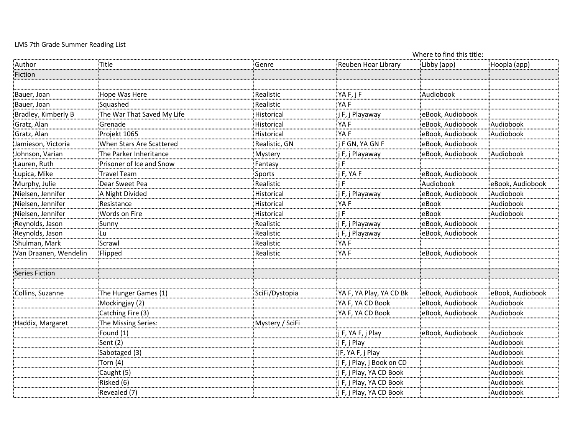## LMS 7th Grade Summer Reading List

| Libby (app)<br>Title<br><b>Reuben Hoar Library</b><br>Hoopla (app)<br><u>Author</u><br>Genre<br>Fiction<br>YAF, jF<br>Bauer, Joan<br>Hope Was Here<br>Realistic<br>Audiobook<br>:<br>Realistic<br>YA F<br>Bauer, Joan<br>Squashed<br>:<br>: j F, j Playaway<br>Bradley, Kimberly B<br>The War That Saved My Life<br>eBook, Audiobook<br>Historical<br>Audiobook<br>Gratz, Alan<br>YA F<br>eBook, Audiobook<br>Grenade<br>Historical<br>YA F<br>Gratz, Alan<br>Projekt 1065<br>eBook, Audiobook<br>Audiobook<br>Historical<br>When Stars Are Scattered<br>F GN, YA GN F<br>eBook, Audiobook<br>Jamieson, Victoria<br>Realistic, GN<br>The Parker Inheritance<br>Johnson, Varian<br>j F, j Playaway<br>eBook, Audiobook<br>Audiobook<br>Mystery<br>Lauren, Ruth<br>Prisoner of Ice and Snow<br>F<br>Fantasy<br>.<br>.<br>j F, YA F<br>Travel Team<br>eBook, Audiobook<br>Lupica, Mike<br>Sports<br>Realistic<br>Audiobook<br>Murphy, Julie<br>Dear Sweet Pea<br>$\mathsf{F}$<br>eBook, Audiobook<br>Nielsen, Jennifer<br>A Night Divided<br>j F, j Playaway<br>eBook, Audiobook<br>Audiobook<br>Historical<br>Nielsen, Jennifer<br>Audiobook<br>YA F<br>eBook<br>Resistance<br>Historical<br>Nielsen, Jennifer<br>Words on Fire<br>eBook<br>Audiobook<br>Historical<br>Reynolds, Jason<br>Realistic<br>j F, j Playaway<br>eBook, Audiobook<br>Sunny<br>Reynolds, Jason<br>Realistic<br>j F, j Playaway<br>eBook, Audiobook<br>Lu<br>Shulman, Mark<br>Scrawl<br>Realistic<br>YA F<br>Realistic<br>:<br>YA F<br>eBook, Audiobook<br>Van Draanen, Wendelin<br>Flipped<br>Series Fiction<br>YA F, YA Play, YA CD Bk<br>SciFi/Dystopia<br>eBook, Audiobook<br>eBook, Audiobook<br>Collins, Suzanne<br>The Hunger Games (1)<br>YA F, YA CD Book<br>eBook, Audiobook<br>Audiobook<br>Mockingjay (2)<br>Catching Fire (3)<br>YA F, YA CD Book<br>eBook, Audiobook<br>Audiobook<br>The Missing Series:<br>Mystery / SciFi<br>Haddix, Margaret<br>Audiobook<br>Found (1)<br>j F, YA F, j Play<br>eBook, Audiobook<br>Sent (2)<br>:j F, j Play<br>Audiobook<br>Sabotaged (3)<br>jF, YA F, j Play<br>Audiobook<br>Audiobook<br>Torn (4)<br>j F, j Play, j Book on CD<br>Caught (5)<br>F, j Play, YA CD Book<br>Audiobook<br>Risked (6)<br>Audiobook<br>j F, j Play, YA CD Book<br>j F, j Play, YA CD Book<br>Audiobook<br>Revealed (7) |  | Where to find this title: |  |  |  |  |
|--------------------------------------------------------------------------------------------------------------------------------------------------------------------------------------------------------------------------------------------------------------------------------------------------------------------------------------------------------------------------------------------------------------------------------------------------------------------------------------------------------------------------------------------------------------------------------------------------------------------------------------------------------------------------------------------------------------------------------------------------------------------------------------------------------------------------------------------------------------------------------------------------------------------------------------------------------------------------------------------------------------------------------------------------------------------------------------------------------------------------------------------------------------------------------------------------------------------------------------------------------------------------------------------------------------------------------------------------------------------------------------------------------------------------------------------------------------------------------------------------------------------------------------------------------------------------------------------------------------------------------------------------------------------------------------------------------------------------------------------------------------------------------------------------------------------------------------------------------------------------------------------------------------------------------------------------------------------------------------------------------------------------------------------------------------------------------------------------------------------------------------------------------------------------------------------------------------------------------------------------------------------------------------------------------------------------|--|---------------------------|--|--|--|--|
|                                                                                                                                                                                                                                                                                                                                                                                                                                                                                                                                                                                                                                                                                                                                                                                                                                                                                                                                                                                                                                                                                                                                                                                                                                                                                                                                                                                                                                                                                                                                                                                                                                                                                                                                                                                                                                                                                                                                                                                                                                                                                                                                                                                                                                                                                                                          |  |                           |  |  |  |  |
|                                                                                                                                                                                                                                                                                                                                                                                                                                                                                                                                                                                                                                                                                                                                                                                                                                                                                                                                                                                                                                                                                                                                                                                                                                                                                                                                                                                                                                                                                                                                                                                                                                                                                                                                                                                                                                                                                                                                                                                                                                                                                                                                                                                                                                                                                                                          |  |                           |  |  |  |  |
|                                                                                                                                                                                                                                                                                                                                                                                                                                                                                                                                                                                                                                                                                                                                                                                                                                                                                                                                                                                                                                                                                                                                                                                                                                                                                                                                                                                                                                                                                                                                                                                                                                                                                                                                                                                                                                                                                                                                                                                                                                                                                                                                                                                                                                                                                                                          |  |                           |  |  |  |  |
|                                                                                                                                                                                                                                                                                                                                                                                                                                                                                                                                                                                                                                                                                                                                                                                                                                                                                                                                                                                                                                                                                                                                                                                                                                                                                                                                                                                                                                                                                                                                                                                                                                                                                                                                                                                                                                                                                                                                                                                                                                                                                                                                                                                                                                                                                                                          |  |                           |  |  |  |  |
|                                                                                                                                                                                                                                                                                                                                                                                                                                                                                                                                                                                                                                                                                                                                                                                                                                                                                                                                                                                                                                                                                                                                                                                                                                                                                                                                                                                                                                                                                                                                                                                                                                                                                                                                                                                                                                                                                                                                                                                                                                                                                                                                                                                                                                                                                                                          |  |                           |  |  |  |  |
|                                                                                                                                                                                                                                                                                                                                                                                                                                                                                                                                                                                                                                                                                                                                                                                                                                                                                                                                                                                                                                                                                                                                                                                                                                                                                                                                                                                                                                                                                                                                                                                                                                                                                                                                                                                                                                                                                                                                                                                                                                                                                                                                                                                                                                                                                                                          |  |                           |  |  |  |  |
|                                                                                                                                                                                                                                                                                                                                                                                                                                                                                                                                                                                                                                                                                                                                                                                                                                                                                                                                                                                                                                                                                                                                                                                                                                                                                                                                                                                                                                                                                                                                                                                                                                                                                                                                                                                                                                                                                                                                                                                                                                                                                                                                                                                                                                                                                                                          |  |                           |  |  |  |  |
|                                                                                                                                                                                                                                                                                                                                                                                                                                                                                                                                                                                                                                                                                                                                                                                                                                                                                                                                                                                                                                                                                                                                                                                                                                                                                                                                                                                                                                                                                                                                                                                                                                                                                                                                                                                                                                                                                                                                                                                                                                                                                                                                                                                                                                                                                                                          |  |                           |  |  |  |  |
|                                                                                                                                                                                                                                                                                                                                                                                                                                                                                                                                                                                                                                                                                                                                                                                                                                                                                                                                                                                                                                                                                                                                                                                                                                                                                                                                                                                                                                                                                                                                                                                                                                                                                                                                                                                                                                                                                                                                                                                                                                                                                                                                                                                                                                                                                                                          |  |                           |  |  |  |  |
|                                                                                                                                                                                                                                                                                                                                                                                                                                                                                                                                                                                                                                                                                                                                                                                                                                                                                                                                                                                                                                                                                                                                                                                                                                                                                                                                                                                                                                                                                                                                                                                                                                                                                                                                                                                                                                                                                                                                                                                                                                                                                                                                                                                                                                                                                                                          |  |                           |  |  |  |  |
|                                                                                                                                                                                                                                                                                                                                                                                                                                                                                                                                                                                                                                                                                                                                                                                                                                                                                                                                                                                                                                                                                                                                                                                                                                                                                                                                                                                                                                                                                                                                                                                                                                                                                                                                                                                                                                                                                                                                                                                                                                                                                                                                                                                                                                                                                                                          |  |                           |  |  |  |  |
|                                                                                                                                                                                                                                                                                                                                                                                                                                                                                                                                                                                                                                                                                                                                                                                                                                                                                                                                                                                                                                                                                                                                                                                                                                                                                                                                                                                                                                                                                                                                                                                                                                                                                                                                                                                                                                                                                                                                                                                                                                                                                                                                                                                                                                                                                                                          |  |                           |  |  |  |  |
|                                                                                                                                                                                                                                                                                                                                                                                                                                                                                                                                                                                                                                                                                                                                                                                                                                                                                                                                                                                                                                                                                                                                                                                                                                                                                                                                                                                                                                                                                                                                                                                                                                                                                                                                                                                                                                                                                                                                                                                                                                                                                                                                                                                                                                                                                                                          |  |                           |  |  |  |  |
|                                                                                                                                                                                                                                                                                                                                                                                                                                                                                                                                                                                                                                                                                                                                                                                                                                                                                                                                                                                                                                                                                                                                                                                                                                                                                                                                                                                                                                                                                                                                                                                                                                                                                                                                                                                                                                                                                                                                                                                                                                                                                                                                                                                                                                                                                                                          |  |                           |  |  |  |  |
|                                                                                                                                                                                                                                                                                                                                                                                                                                                                                                                                                                                                                                                                                                                                                                                                                                                                                                                                                                                                                                                                                                                                                                                                                                                                                                                                                                                                                                                                                                                                                                                                                                                                                                                                                                                                                                                                                                                                                                                                                                                                                                                                                                                                                                                                                                                          |  |                           |  |  |  |  |
|                                                                                                                                                                                                                                                                                                                                                                                                                                                                                                                                                                                                                                                                                                                                                                                                                                                                                                                                                                                                                                                                                                                                                                                                                                                                                                                                                                                                                                                                                                                                                                                                                                                                                                                                                                                                                                                                                                                                                                                                                                                                                                                                                                                                                                                                                                                          |  |                           |  |  |  |  |
|                                                                                                                                                                                                                                                                                                                                                                                                                                                                                                                                                                                                                                                                                                                                                                                                                                                                                                                                                                                                                                                                                                                                                                                                                                                                                                                                                                                                                                                                                                                                                                                                                                                                                                                                                                                                                                                                                                                                                                                                                                                                                                                                                                                                                                                                                                                          |  |                           |  |  |  |  |
|                                                                                                                                                                                                                                                                                                                                                                                                                                                                                                                                                                                                                                                                                                                                                                                                                                                                                                                                                                                                                                                                                                                                                                                                                                                                                                                                                                                                                                                                                                                                                                                                                                                                                                                                                                                                                                                                                                                                                                                                                                                                                                                                                                                                                                                                                                                          |  |                           |  |  |  |  |
|                                                                                                                                                                                                                                                                                                                                                                                                                                                                                                                                                                                                                                                                                                                                                                                                                                                                                                                                                                                                                                                                                                                                                                                                                                                                                                                                                                                                                                                                                                                                                                                                                                                                                                                                                                                                                                                                                                                                                                                                                                                                                                                                                                                                                                                                                                                          |  |                           |  |  |  |  |
|                                                                                                                                                                                                                                                                                                                                                                                                                                                                                                                                                                                                                                                                                                                                                                                                                                                                                                                                                                                                                                                                                                                                                                                                                                                                                                                                                                                                                                                                                                                                                                                                                                                                                                                                                                                                                                                                                                                                                                                                                                                                                                                                                                                                                                                                                                                          |  |                           |  |  |  |  |
|                                                                                                                                                                                                                                                                                                                                                                                                                                                                                                                                                                                                                                                                                                                                                                                                                                                                                                                                                                                                                                                                                                                                                                                                                                                                                                                                                                                                                                                                                                                                                                                                                                                                                                                                                                                                                                                                                                                                                                                                                                                                                                                                                                                                                                                                                                                          |  |                           |  |  |  |  |
|                                                                                                                                                                                                                                                                                                                                                                                                                                                                                                                                                                                                                                                                                                                                                                                                                                                                                                                                                                                                                                                                                                                                                                                                                                                                                                                                                                                                                                                                                                                                                                                                                                                                                                                                                                                                                                                                                                                                                                                                                                                                                                                                                                                                                                                                                                                          |  |                           |  |  |  |  |
|                                                                                                                                                                                                                                                                                                                                                                                                                                                                                                                                                                                                                                                                                                                                                                                                                                                                                                                                                                                                                                                                                                                                                                                                                                                                                                                                                                                                                                                                                                                                                                                                                                                                                                                                                                                                                                                                                                                                                                                                                                                                                                                                                                                                                                                                                                                          |  |                           |  |  |  |  |
|                                                                                                                                                                                                                                                                                                                                                                                                                                                                                                                                                                                                                                                                                                                                                                                                                                                                                                                                                                                                                                                                                                                                                                                                                                                                                                                                                                                                                                                                                                                                                                                                                                                                                                                                                                                                                                                                                                                                                                                                                                                                                                                                                                                                                                                                                                                          |  |                           |  |  |  |  |
|                                                                                                                                                                                                                                                                                                                                                                                                                                                                                                                                                                                                                                                                                                                                                                                                                                                                                                                                                                                                                                                                                                                                                                                                                                                                                                                                                                                                                                                                                                                                                                                                                                                                                                                                                                                                                                                                                                                                                                                                                                                                                                                                                                                                                                                                                                                          |  |                           |  |  |  |  |
|                                                                                                                                                                                                                                                                                                                                                                                                                                                                                                                                                                                                                                                                                                                                                                                                                                                                                                                                                                                                                                                                                                                                                                                                                                                                                                                                                                                                                                                                                                                                                                                                                                                                                                                                                                                                                                                                                                                                                                                                                                                                                                                                                                                                                                                                                                                          |  |                           |  |  |  |  |
|                                                                                                                                                                                                                                                                                                                                                                                                                                                                                                                                                                                                                                                                                                                                                                                                                                                                                                                                                                                                                                                                                                                                                                                                                                                                                                                                                                                                                                                                                                                                                                                                                                                                                                                                                                                                                                                                                                                                                                                                                                                                                                                                                                                                                                                                                                                          |  |                           |  |  |  |  |
|                                                                                                                                                                                                                                                                                                                                                                                                                                                                                                                                                                                                                                                                                                                                                                                                                                                                                                                                                                                                                                                                                                                                                                                                                                                                                                                                                                                                                                                                                                                                                                                                                                                                                                                                                                                                                                                                                                                                                                                                                                                                                                                                                                                                                                                                                                                          |  |                           |  |  |  |  |
|                                                                                                                                                                                                                                                                                                                                                                                                                                                                                                                                                                                                                                                                                                                                                                                                                                                                                                                                                                                                                                                                                                                                                                                                                                                                                                                                                                                                                                                                                                                                                                                                                                                                                                                                                                                                                                                                                                                                                                                                                                                                                                                                                                                                                                                                                                                          |  |                           |  |  |  |  |
|                                                                                                                                                                                                                                                                                                                                                                                                                                                                                                                                                                                                                                                                                                                                                                                                                                                                                                                                                                                                                                                                                                                                                                                                                                                                                                                                                                                                                                                                                                                                                                                                                                                                                                                                                                                                                                                                                                                                                                                                                                                                                                                                                                                                                                                                                                                          |  |                           |  |  |  |  |
|                                                                                                                                                                                                                                                                                                                                                                                                                                                                                                                                                                                                                                                                                                                                                                                                                                                                                                                                                                                                                                                                                                                                                                                                                                                                                                                                                                                                                                                                                                                                                                                                                                                                                                                                                                                                                                                                                                                                                                                                                                                                                                                                                                                                                                                                                                                          |  |                           |  |  |  |  |
|                                                                                                                                                                                                                                                                                                                                                                                                                                                                                                                                                                                                                                                                                                                                                                                                                                                                                                                                                                                                                                                                                                                                                                                                                                                                                                                                                                                                                                                                                                                                                                                                                                                                                                                                                                                                                                                                                                                                                                                                                                                                                                                                                                                                                                                                                                                          |  |                           |  |  |  |  |